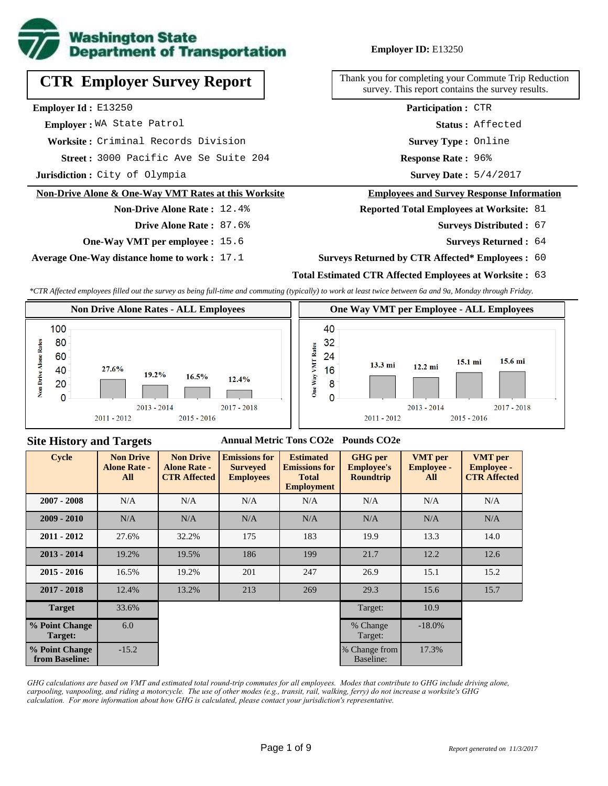

# **CTR Employer Survey Report**

**Employer Id :** E13250

 **Employer :** WA State Patrol

**Worksite :** Criminal Records Division

3000 Pacific Ave Se Suite 204 **Response Rate : Street :**

**Jurisdiction :** City of Olympia

#### **Non-Drive Alone & One-Way VMT Rates at this Worksite**

# **Drive Alone Rate :** 87.6%

**Non-Drive Alone Rate :** 12.4%

**One-Way VMT per employee :** 15.6

**Average One-Way distance home to work :** 17.1

**Employer ID:** E13250

Thank you for completing your Commute Trip Reduction survey. This report contains the survey results.

> **Survey Type :** Online **Status :** Affected **Participation :** CTR

Response Rate: 96%

Survey Date: 5/4/2017

#### **Employees and Survey Response Information**

**Reported Total Employees at Worksite:** 81

- Surveys Distributed : 67
	- **Surveys Returned :** 64

#### **Surveys Returned by CTR Affected\* Employees :** 60

### **Total Estimated CTR Affected Employees at Worksite :** 63

*\*CTR Affected employees filled out the survey as being full-time and commuting (typically) to work at least twice between 6a and 9a, Monday through Friday.*



## **Site History and Targets**

#### **Annual Metric Tons CO2e Pounds CO2e**

| <b>Cycle</b>                     | <b>Non Drive</b><br><b>Alone Rate -</b><br>All | <b>Non Drive</b><br><b>Alone Rate -</b><br><b>CTR Affected</b> | <b>Emissions for</b><br><b>Surveyed</b><br><b>Employees</b> | <b>Estimated</b><br><b>Emissions for</b><br><b>Total</b><br><b>Employment</b> | <b>GHG</b> per<br><b>Employee's</b><br><b>Roundtrip</b> | <b>VMT</b> per<br><b>Employee -</b><br>All | <b>VMT</b> per<br><b>Employee -</b><br><b>CTR Affected</b> |
|----------------------------------|------------------------------------------------|----------------------------------------------------------------|-------------------------------------------------------------|-------------------------------------------------------------------------------|---------------------------------------------------------|--------------------------------------------|------------------------------------------------------------|
| $2007 - 2008$                    | N/A                                            | N/A                                                            | N/A                                                         | N/A                                                                           | N/A                                                     | N/A                                        | N/A                                                        |
| $2009 - 2010$                    | N/A                                            | N/A                                                            | N/A                                                         | N/A                                                                           | N/A                                                     | N/A                                        | N/A                                                        |
| $2011 - 2012$                    | 27.6%                                          | 32.2%                                                          | 175                                                         | 183                                                                           | 19.9                                                    | 13.3                                       | 14.0                                                       |
| $2013 - 2014$                    | 19.2%                                          | 19.5%                                                          | 186                                                         | 199                                                                           | 21.7                                                    | 12.2                                       | 12.6                                                       |
| $2015 - 2016$                    | 16.5%                                          | 19.2%                                                          | 201                                                         | 247                                                                           | 26.9                                                    | 15.1                                       | 15.2                                                       |
| $2017 - 2018$                    | 12.4%                                          | 13.2%                                                          | 213                                                         | 269                                                                           | 29.3                                                    | 15.6                                       | 15.7                                                       |
| <b>Target</b>                    | 33.6%                                          |                                                                |                                                             |                                                                               | Target:                                                 | 10.9                                       |                                                            |
| % Point Change<br>Target:        | 6.0                                            |                                                                |                                                             |                                                                               | % Change<br>Target:                                     | $-18.0\%$                                  |                                                            |
| % Point Change<br>from Baseline: | $-15.2$                                        |                                                                |                                                             |                                                                               | % Change from<br>Baseline:                              | 17.3%                                      |                                                            |

*GHG calculations are based on VMT and estimated total round-trip commutes for all employees. Modes that contribute to GHG include driving alone, carpooling, vanpooling, and riding a motorcycle. The use of other modes (e.g., transit, rail, walking, ferry) do not increase a worksite's GHG calculation. For more information about how GHG is calculated, please contact your jurisdiction's representative.*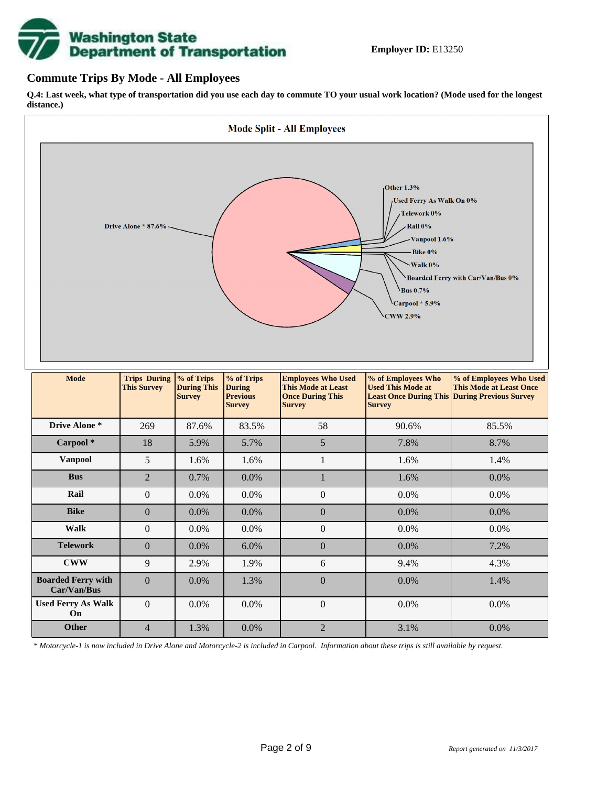# **Washington State<br>Department of Transportation**

## **Commute Trips By Mode - All Employees**

**Q.4: Last week, what type of transportation did you use each day to commute TO your usual work location? (Mode used for the longest distance.)**



*\* Motorcycle-1 is now included in Drive Alone and Motorcycle-2 is included in Carpool. Information about these trips is still available by request.*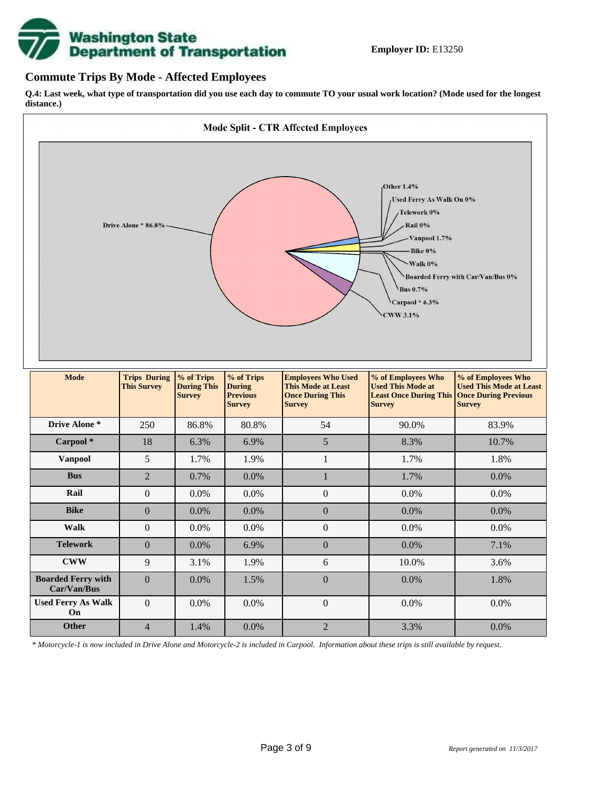

## **Commute Trips By Mode - Affected Employees**

**Q.4: Last week, what type of transportation did you use each day to commute TO your usual work location? (Mode used for the longest distance.)**



*\* Motorcycle-1 is now included in Drive Alone and Motorcycle-2 is included in Carpool. Information about these trips is still available by request.*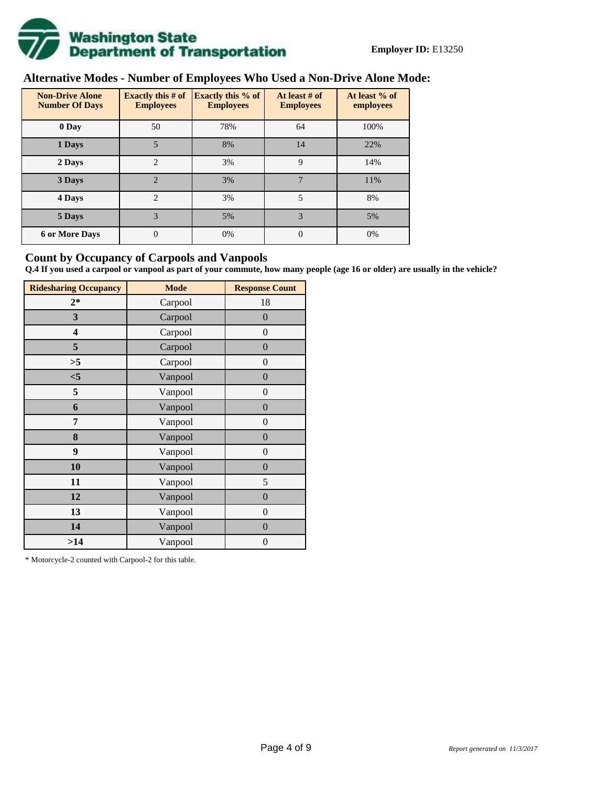

# **Alternative Modes - Number of Employees Who Used a Non-Drive Alone Mode:**

| <b>Non-Drive Alone</b><br><b>Number Of Days</b> | <b>Exactly this # of</b><br><b>Employees</b> | <b>Exactly this % of</b><br><b>Employees</b> | At least # of<br><b>Employees</b> | At least % of<br>employees |
|-------------------------------------------------|----------------------------------------------|----------------------------------------------|-----------------------------------|----------------------------|
| 0 Day                                           | 50                                           | 78%                                          | 64                                | 100%                       |
| 1 Days                                          | 5                                            | 8%                                           | 14                                | 22%                        |
| 2 Days                                          | $\overline{2}$                               | 3%                                           | 9                                 | 14%                        |
| 3 Days                                          | $\overline{2}$                               | 3%                                           | 7                                 | 11%                        |
| 4 Days                                          | $\overline{2}$                               | 3%                                           | 5                                 | 8%                         |
| 5 Days                                          | 3                                            | 5%                                           | 3                                 | 5%                         |
| <b>6 or More Days</b>                           | $\theta$                                     | 0%                                           | $\Omega$                          | 0%                         |

## **Count by Occupancy of Carpools and Vanpools**

**Q.4 If you used a carpool or vanpool as part of your commute, how many people (age 16 or older) are usually in the vehicle?**

| <b>Ridesharing Occupancy</b> | <b>Mode</b> | <b>Response Count</b> |  |  |  |  |
|------------------------------|-------------|-----------------------|--|--|--|--|
| $2*$                         | Carpool     | 18                    |  |  |  |  |
| 3                            | Carpool     | $\boldsymbol{0}$      |  |  |  |  |
| 4                            | Carpool     | $\boldsymbol{0}$      |  |  |  |  |
| 5                            | Carpool     | $\boldsymbol{0}$      |  |  |  |  |
| >5                           | Carpool     | $\overline{0}$        |  |  |  |  |
| $<$ 5                        | Vanpool     | $\overline{0}$        |  |  |  |  |
| 5                            | Vanpool     | $\boldsymbol{0}$      |  |  |  |  |
| 6                            | Vanpool     | $\boldsymbol{0}$      |  |  |  |  |
| 7                            | Vanpool     | $\boldsymbol{0}$      |  |  |  |  |
| 8                            | Vanpool     | $\boldsymbol{0}$      |  |  |  |  |
| 9                            | Vanpool     | $\boldsymbol{0}$      |  |  |  |  |
| 10                           | Vanpool     | $\overline{0}$        |  |  |  |  |
| 11                           | Vanpool     | 5                     |  |  |  |  |
| 12                           | Vanpool     | $\boldsymbol{0}$      |  |  |  |  |
| 13                           | Vanpool     | $\boldsymbol{0}$      |  |  |  |  |
| 14                           | Vanpool     | $\overline{0}$        |  |  |  |  |
| >14                          | Vanpool     | $\boldsymbol{0}$      |  |  |  |  |

\* Motorcycle-2 counted with Carpool-2 for this table.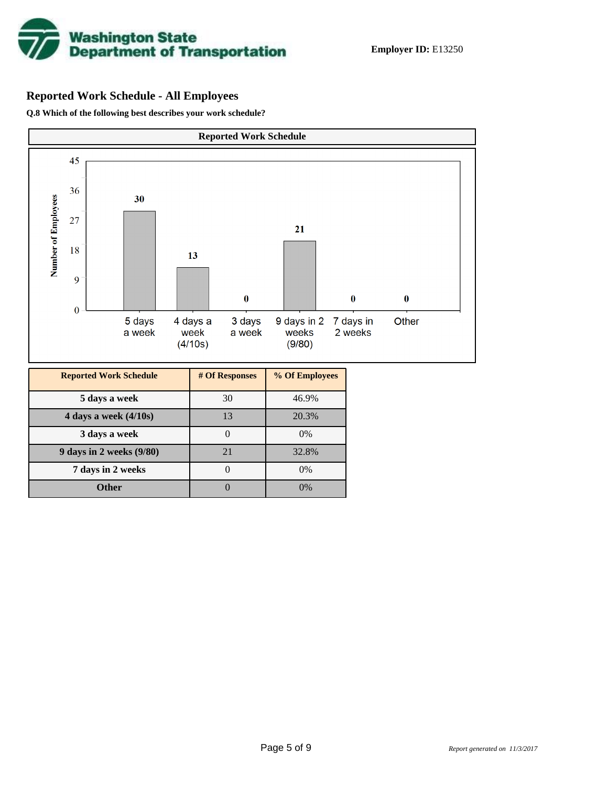

# **Reported Work Schedule - All Employees**

**Q.8 Which of the following best describes your work schedule?**

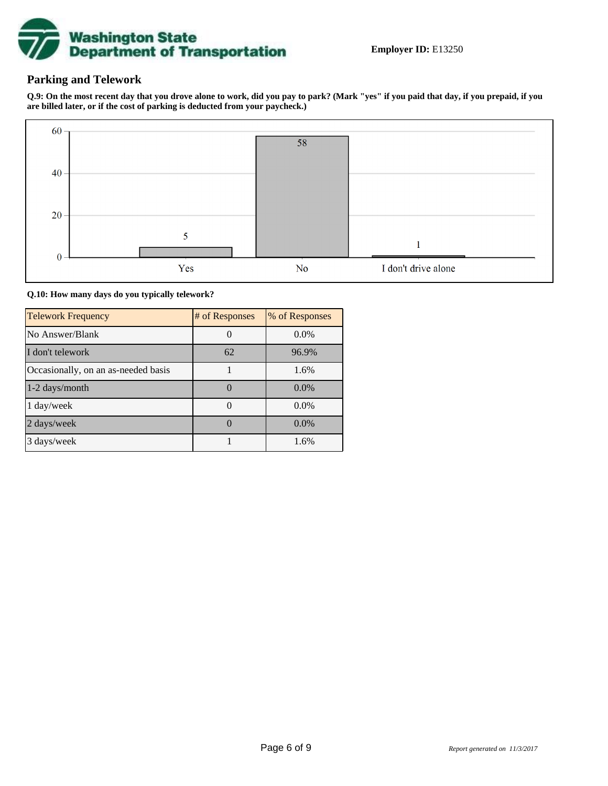

## **Parking and Telework**

**Q.9: On the most recent day that you drove alone to work, did you pay to park? (Mark "yes" if you paid that day, if you prepaid, if you are billed later, or if the cost of parking is deducted from your paycheck.)**



**Q.10: How many days do you typically telework?**

| <b>Telework Frequency</b>           | # of Responses | % of Responses |
|-------------------------------------|----------------|----------------|
| No Answer/Blank                     |                | $0.0\%$        |
| I don't telework                    | 62             | 96.9%          |
| Occasionally, on an as-needed basis |                | 1.6%           |
| 1-2 days/month                      |                | $0.0\%$        |
| 1 day/week                          |                | $0.0\%$        |
| 2 days/week                         |                | $0.0\%$        |
| 3 days/week                         |                | 1.6%           |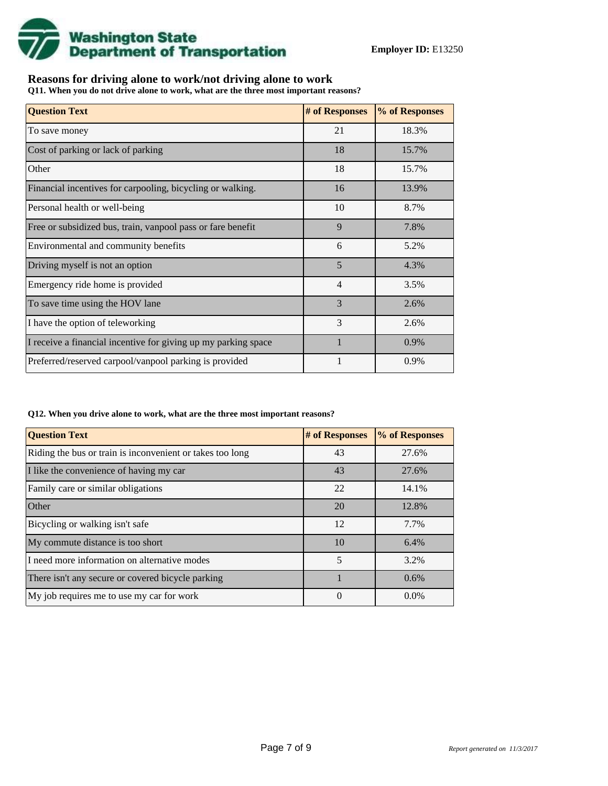

## **Reasons for driving alone to work/not driving alone to work**

**Q11. When you do not drive alone to work, what are the three most important reasons?**

| <b>Question Text</b>                                           | # of Responses | % of Responses |
|----------------------------------------------------------------|----------------|----------------|
| To save money                                                  | 21             | 18.3%          |
| Cost of parking or lack of parking                             | 18             | 15.7%          |
| Other                                                          | 18             | 15.7%          |
| Financial incentives for carpooling, bicycling or walking.     | 16             | 13.9%          |
| Personal health or well-being                                  | 10             | 8.7%           |
| Free or subsidized bus, train, vanpool pass or fare benefit    | 9              | 7.8%           |
| Environmental and community benefits                           | 6              | 5.2%           |
| Driving myself is not an option                                | 5              | 4.3%           |
| Emergency ride home is provided                                | $\overline{4}$ | 3.5%           |
| To save time using the HOV lane                                | 3              | 2.6%           |
| I have the option of teleworking                               | 3              | 2.6%           |
| I receive a financial incentive for giving up my parking space |                | 0.9%           |
| Preferred/reserved carpool/vanpool parking is provided         |                | 0.9%           |

#### **Q12. When you drive alone to work, what are the three most important reasons?**

| <b>Question Text</b>                                      | # of Responses | % of Responses |
|-----------------------------------------------------------|----------------|----------------|
| Riding the bus or train is inconvenient or takes too long | 43             | 27.6%          |
| I like the convenience of having my car                   | 43             | 27.6%          |
| Family care or similar obligations                        | 22             | 14.1%          |
| Other                                                     | 20             | 12.8%          |
| Bicycling or walking isn't safe                           | 12             | 7.7%           |
| My commute distance is too short                          | 10             | 6.4%           |
| I need more information on alternative modes              | 5              | 3.2%           |
| There isn't any secure or covered bicycle parking         |                | 0.6%           |
| My job requires me to use my car for work                 | $\overline{0}$ | $0.0\%$        |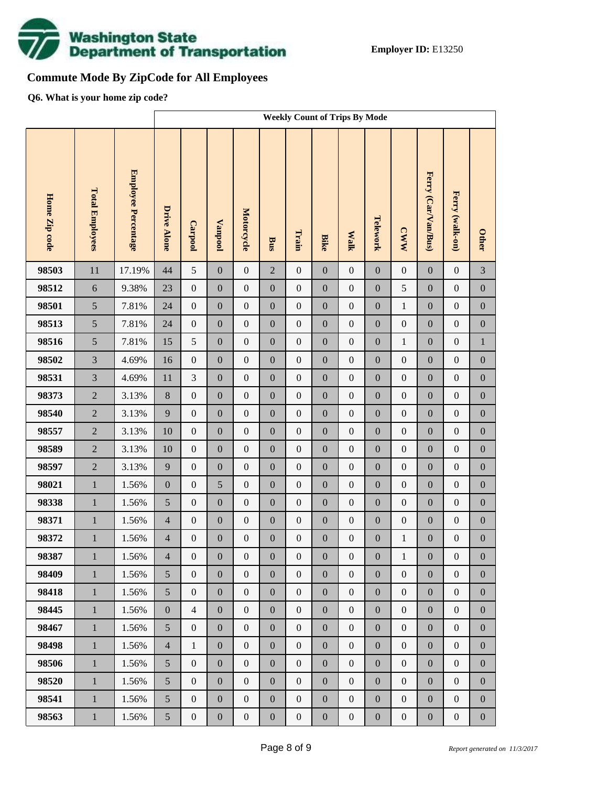

# **Commute Mode By ZipCode for All Employees**

**Q6. What is your home zip code?**

|               |                        |                     | <b>Weekly Count of Trips By Mode</b> |                  |                  |                  |                  |                  |                  |                  |                  |                  |                     |                  |                  |
|---------------|------------------------|---------------------|--------------------------------------|------------------|------------------|------------------|------------------|------------------|------------------|------------------|------------------|------------------|---------------------|------------------|------------------|
| Home Zip code | <b>Total Employees</b> | Employee Percentage | <b>Drive Alone</b>                   | Carpool          | <b>Vanpool</b>   | Motorcycle       | Bus              | Train            | <b>Bike</b>      | <b>Walk</b>      | Telework         | <b>CWW</b>       | Ferry (Car/Van/Bus) | Ferry (walk-on)  | <b>Other</b>     |
| 98503         | 11                     | 17.19%              | 44                                   | 5                | $\mathbf{0}$     | $\boldsymbol{0}$ | $\overline{2}$   | $\boldsymbol{0}$ | $\overline{0}$   | $\boldsymbol{0}$ | $\boldsymbol{0}$ | $\boldsymbol{0}$ | $\mathbf{0}$        | $\boldsymbol{0}$ | 3                |
| 98512         | $\sqrt{6}$             | 9.38%               | 23                                   | $\boldsymbol{0}$ | $\boldsymbol{0}$ | $\boldsymbol{0}$ | $\boldsymbol{0}$ | $\boldsymbol{0}$ | $\overline{0}$   | $\boldsymbol{0}$ | $\boldsymbol{0}$ | 5                | $\boldsymbol{0}$    | $\boldsymbol{0}$ | $\boldsymbol{0}$ |
| 98501         | 5                      | 7.81%               | 24                                   | $\boldsymbol{0}$ | $\boldsymbol{0}$ | $\boldsymbol{0}$ | $\boldsymbol{0}$ | $\boldsymbol{0}$ | $\boldsymbol{0}$ | $\boldsymbol{0}$ | $\boldsymbol{0}$ | $\,1$            | $\boldsymbol{0}$    | $\boldsymbol{0}$ | $\boldsymbol{0}$ |
| 98513         | 5                      | 7.81%               | 24                                   | $\boldsymbol{0}$ | $\boldsymbol{0}$ | $\boldsymbol{0}$ | $\boldsymbol{0}$ | $\boldsymbol{0}$ | $\overline{0}$   | $\boldsymbol{0}$ | $\boldsymbol{0}$ | $\boldsymbol{0}$ | $\boldsymbol{0}$    | $\boldsymbol{0}$ | $\boldsymbol{0}$ |
| 98516         | 5                      | 7.81%               | 15                                   | 5                | $\boldsymbol{0}$ | $\boldsymbol{0}$ | $\boldsymbol{0}$ | $\boldsymbol{0}$ | $\boldsymbol{0}$ | $\boldsymbol{0}$ | $\boldsymbol{0}$ | $\mathbf{1}$     | $\boldsymbol{0}$    | $\boldsymbol{0}$ | $\,1$            |
| 98502         | $\overline{3}$         | 4.69%               | 16                                   | $\boldsymbol{0}$ | $\boldsymbol{0}$ | $\boldsymbol{0}$ | $\boldsymbol{0}$ | $\boldsymbol{0}$ | $\overline{0}$   | $\boldsymbol{0}$ | $\boldsymbol{0}$ | $\boldsymbol{0}$ | $\boldsymbol{0}$    | $\boldsymbol{0}$ | $\boldsymbol{0}$ |
| 98531         | $\overline{3}$         | 4.69%               | 11                                   | 3                | $\boldsymbol{0}$ | $\boldsymbol{0}$ | $\boldsymbol{0}$ | $\boldsymbol{0}$ | $\boldsymbol{0}$ | $\boldsymbol{0}$ | $\boldsymbol{0}$ | $\boldsymbol{0}$ | $\boldsymbol{0}$    | $\boldsymbol{0}$ | $\boldsymbol{0}$ |
| 98373         | $\overline{2}$         | 3.13%               | $8\,$                                | $\boldsymbol{0}$ | $\boldsymbol{0}$ | $\boldsymbol{0}$ | $\boldsymbol{0}$ | $\boldsymbol{0}$ | $\overline{0}$   | $\boldsymbol{0}$ | $\boldsymbol{0}$ | $\boldsymbol{0}$ | $\boldsymbol{0}$    | $\boldsymbol{0}$ | $\boldsymbol{0}$ |
| 98540         | $\overline{2}$         | 3.13%               | 9                                    | $\boldsymbol{0}$ | $\boldsymbol{0}$ | $\boldsymbol{0}$ | $\boldsymbol{0}$ | $\boldsymbol{0}$ | $\boldsymbol{0}$ | $\boldsymbol{0}$ | $\boldsymbol{0}$ | $\boldsymbol{0}$ | $\boldsymbol{0}$    | $\boldsymbol{0}$ | $\boldsymbol{0}$ |
| 98557         | $\overline{2}$         | 3.13%               | 10                                   | $\boldsymbol{0}$ | $\boldsymbol{0}$ | $\boldsymbol{0}$ | $\boldsymbol{0}$ | $\boldsymbol{0}$ | $\overline{0}$   | $\boldsymbol{0}$ | $\boldsymbol{0}$ | $\boldsymbol{0}$ | $\boldsymbol{0}$    | $\boldsymbol{0}$ | $\boldsymbol{0}$ |
| 98589         | $\overline{2}$         | 3.13%               | 10                                   | $\boldsymbol{0}$ | $\boldsymbol{0}$ | $\boldsymbol{0}$ | $\boldsymbol{0}$ | $\boldsymbol{0}$ | $\boldsymbol{0}$ | $\boldsymbol{0}$ | $\boldsymbol{0}$ | $\boldsymbol{0}$ | $\boldsymbol{0}$    | $\boldsymbol{0}$ | $\boldsymbol{0}$ |
| 98597         | $\overline{2}$         | 3.13%               | 9                                    | $\boldsymbol{0}$ | $\boldsymbol{0}$ | $\boldsymbol{0}$ | $\boldsymbol{0}$ | $\boldsymbol{0}$ | $\overline{0}$   | $\boldsymbol{0}$ | $\boldsymbol{0}$ | $\boldsymbol{0}$ | $\boldsymbol{0}$    | $\boldsymbol{0}$ | $\boldsymbol{0}$ |
| 98021         | $\,1\,$                | 1.56%               | $\boldsymbol{0}$                     | $\boldsymbol{0}$ | 5                | $\boldsymbol{0}$ | $\boldsymbol{0}$ | $\boldsymbol{0}$ | $\boldsymbol{0}$ | $\boldsymbol{0}$ | $\boldsymbol{0}$ | $\boldsymbol{0}$ | $\boldsymbol{0}$    | $\boldsymbol{0}$ | $\boldsymbol{0}$ |
| 98338         | $\mathbf 1$            | 1.56%               | 5                                    | $\boldsymbol{0}$ | $\boldsymbol{0}$ | $\boldsymbol{0}$ | $\boldsymbol{0}$ | $\boldsymbol{0}$ | $\overline{0}$   | $\boldsymbol{0}$ | $\boldsymbol{0}$ | $\boldsymbol{0}$ | $\boldsymbol{0}$    | $\boldsymbol{0}$ | $\boldsymbol{0}$ |
| 98371         | $\mathbf{1}$           | 1.56%               | $\overline{4}$                       | $\boldsymbol{0}$ | $\boldsymbol{0}$ | $\boldsymbol{0}$ | $\boldsymbol{0}$ | $\boldsymbol{0}$ | $\boldsymbol{0}$ | $\boldsymbol{0}$ | $\boldsymbol{0}$ | $\boldsymbol{0}$ | $\boldsymbol{0}$    | $\boldsymbol{0}$ | $\boldsymbol{0}$ |
| 98372         | $\,1$                  | 1.56%               | $\overline{4}$                       | $\boldsymbol{0}$ | $\boldsymbol{0}$ | $\boldsymbol{0}$ | $\boldsymbol{0}$ | $\boldsymbol{0}$ | $\mathbf{0}$     | $\boldsymbol{0}$ | $\boldsymbol{0}$ | $\mathbf{1}$     | $\boldsymbol{0}$    | $\boldsymbol{0}$ | $\boldsymbol{0}$ |
| 98387         | $\mathbf{1}$           | 1.56%               | $\overline{4}$                       | $\boldsymbol{0}$ | $\boldsymbol{0}$ | $\boldsymbol{0}$ | $\boldsymbol{0}$ | $\boldsymbol{0}$ | $\boldsymbol{0}$ | $\mathbf{0}$     | $\boldsymbol{0}$ | $\mathbf{1}$     | $\boldsymbol{0}$    | $\boldsymbol{0}$ | $\boldsymbol{0}$ |
| 98409         | $\mathbf{1}$           | 1.56%               | 5                                    | $\overline{0}$   | $\boldsymbol{0}$ | $\boldsymbol{0}$ | $\boldsymbol{0}$ | $\boldsymbol{0}$ | $\overline{0}$   | $\boldsymbol{0}$ | $\boldsymbol{0}$ | $\boldsymbol{0}$ | $\boldsymbol{0}$    | $\boldsymbol{0}$ | $\overline{0}$   |
| 98418         | $\,1\,$                | 1.56%               | 5                                    | $\boldsymbol{0}$ | $\boldsymbol{0}$ | $\boldsymbol{0}$ | $\boldsymbol{0}$ | $\boldsymbol{0}$ | $\boldsymbol{0}$ | $\boldsymbol{0}$ | $\boldsymbol{0}$ | $\boldsymbol{0}$ | $\boldsymbol{0}$    | $\boldsymbol{0}$ | $\boldsymbol{0}$ |
| 98445         | $\mathbf{1}$           | 1.56%               | $\boldsymbol{0}$                     | $\overline{4}$   | $\boldsymbol{0}$ | $\boldsymbol{0}$ | $\boldsymbol{0}$ | $\boldsymbol{0}$ | $\boldsymbol{0}$ | $\boldsymbol{0}$ | $\boldsymbol{0}$ | $\boldsymbol{0}$ | $\boldsymbol{0}$    | $\boldsymbol{0}$ | $\boldsymbol{0}$ |
| 98467         | $\mathbf{1}$           | 1.56%               | 5                                    | $\boldsymbol{0}$ | $\boldsymbol{0}$ | $\boldsymbol{0}$ | $\boldsymbol{0}$ | $\boldsymbol{0}$ | $\overline{0}$   | $\boldsymbol{0}$ | $\boldsymbol{0}$ | $\boldsymbol{0}$ | $\boldsymbol{0}$    | $\boldsymbol{0}$ | $\boldsymbol{0}$ |
| 98498         | $\mathbf{1}$           | 1.56%               | $\overline{4}$                       | $\mathbf{1}$     | $\boldsymbol{0}$ | $\boldsymbol{0}$ | $\boldsymbol{0}$ | $\boldsymbol{0}$ | $\boldsymbol{0}$ | $\boldsymbol{0}$ | $\boldsymbol{0}$ | $\boldsymbol{0}$ | $\boldsymbol{0}$    | $\boldsymbol{0}$ | $\boldsymbol{0}$ |
| 98506         | $\mathbf{1}$           | 1.56%               | 5                                    | $\boldsymbol{0}$ | $\boldsymbol{0}$ | $\boldsymbol{0}$ | $\boldsymbol{0}$ | $\boldsymbol{0}$ | $\overline{0}$   | $\boldsymbol{0}$ | $\boldsymbol{0}$ | $\boldsymbol{0}$ | $\boldsymbol{0}$    | $\boldsymbol{0}$ | $\boldsymbol{0}$ |
| 98520         | $1\,$                  | 1.56%               | 5                                    | $\boldsymbol{0}$ | $\boldsymbol{0}$ | $\boldsymbol{0}$ | $\boldsymbol{0}$ | $\boldsymbol{0}$ | $\boldsymbol{0}$ | $\boldsymbol{0}$ | $\boldsymbol{0}$ | $\boldsymbol{0}$ | $\boldsymbol{0}$    | $\boldsymbol{0}$ | $\boldsymbol{0}$ |
| 98541         | $\,1\,$                | 1.56%               | 5                                    | $\boldsymbol{0}$ | $\boldsymbol{0}$ | $\boldsymbol{0}$ | $\boldsymbol{0}$ | $\boldsymbol{0}$ | $\overline{0}$   | $\boldsymbol{0}$ | $\boldsymbol{0}$ | $\boldsymbol{0}$ | $\boldsymbol{0}$    | $\boldsymbol{0}$ | $\boldsymbol{0}$ |
| 98563         | $1\,$                  | 1.56%               | 5                                    | $\boldsymbol{0}$ | $\boldsymbol{0}$ | $\boldsymbol{0}$ | $\boldsymbol{0}$ | $\boldsymbol{0}$ | $\boldsymbol{0}$ | $\boldsymbol{0}$ | $\boldsymbol{0}$ | $\boldsymbol{0}$ | $\boldsymbol{0}$    | $\boldsymbol{0}$ | $\boldsymbol{0}$ |